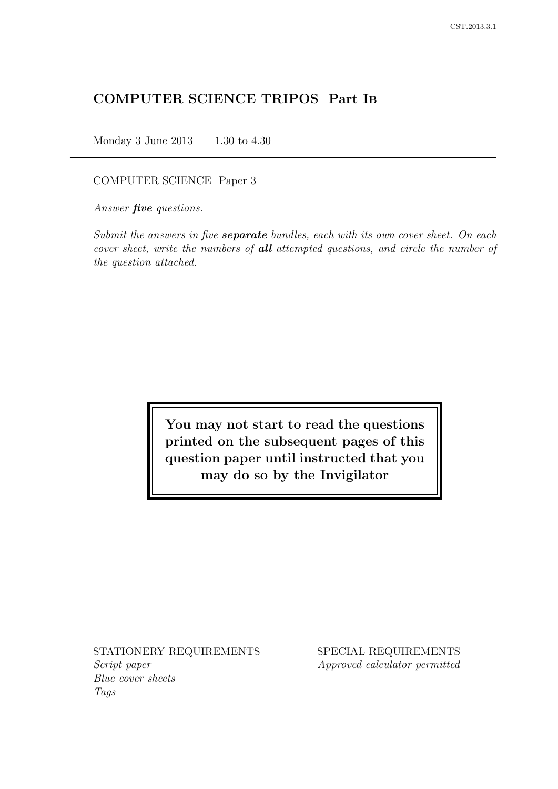# COMPUTER SCIENCE TRIPOS Part IB

Monday 3 June 2013 1.30 to 4.30

COMPUTER SCIENCE Paper 3

Answer *five* questions.

Submit the answers in five **separate** bundles, each with its own cover sheet. On each cover sheet, write the numbers of **all** attempted questions, and circle the number of the question attached.

> You may not start to read the questions printed on the subsequent pages of this question paper until instructed that you may do so by the Invigilator

STATIONERY REQUIREMENTS Script paper Blue cover sheets

Tags

SPECIAL REQUIREMENTS Approved calculator permitted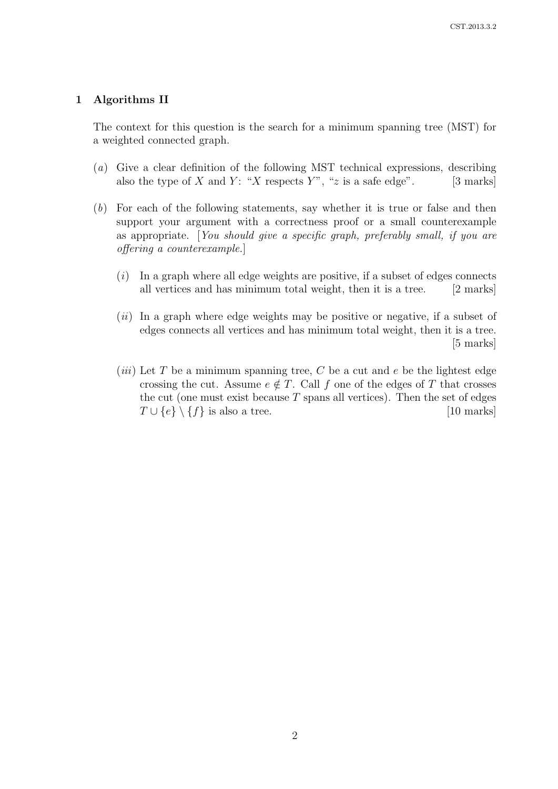#### 1 Algorithms II

The context for this question is the search for a minimum spanning tree (MST) for a weighted connected graph.

- (a) Give a clear definition of the following MST technical expressions, describing also the type of X and Y: "X respects Y", "z is a safe edge".  $[3 \text{ marks}]$
- (b) For each of the following statements, say whether it is true or false and then support your argument with a correctness proof or a small counterexample as appropriate. [You should give a specific graph, preferably small, if you are offering a counterexample.]
	- $(i)$  In a graph where all edge weights are positive, if a subset of edges connects all vertices and has minimum total weight, then it is a tree. [2 marks]
	- $(ii)$  In a graph where edge weights may be positive or negative, if a subset of edges connects all vertices and has minimum total weight, then it is a tree. [5 marks]
	- (*iii*) Let T be a minimum spanning tree, C be a cut and  $e$  be the lightest edge crossing the cut. Assume  $e \notin T$ . Call f one of the edges of T that crosses the cut (one must exist because  $T$  spans all vertices). Then the set of edges  $T \cup \{e\} \setminus \{f\}$  is also a tree. [10 marks]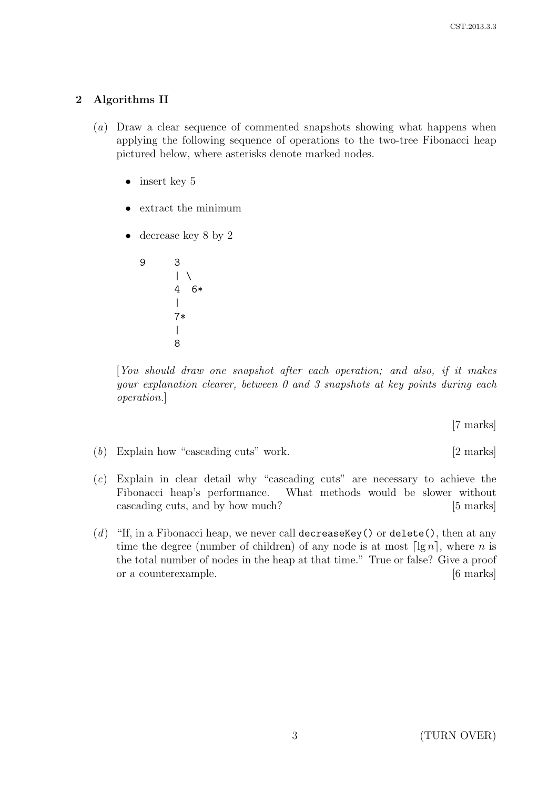## 2 Algorithms II

- (a) Draw a clear sequence of commented snapshots showing what happens when applying the following sequence of operations to the two-tree Fibonacci heap pictured below, where asterisks denote marked nodes.
	- insert key 5
	- extract the minimum
	- decrease key 8 by 2

9 3  $\vert \ \ \rangle$ 4 6\* | 7\* | 8

[You should draw one snapshot after each operation; and also, if it makes your explanation clearer, between 0 and 3 snapshots at key points during each operation.]

[7 marks]

(b) Explain how "cascading cuts" work. [2 marks]

- (c) Explain in clear detail why "cascading cuts" are necessary to achieve the Fibonacci heap's performance. What methods would be slower without cascading cuts, and by how much? [5 marks]
- (d) "If, in a Fibonacci heap, we never call decrease Key () or delete (), then at any time the degree (number of children) of any node is at most  $\lceil \lg n \rceil$ , where n is the total number of nodes in the heap at that time." True or false? Give a proof or a counterexample. [6 marks]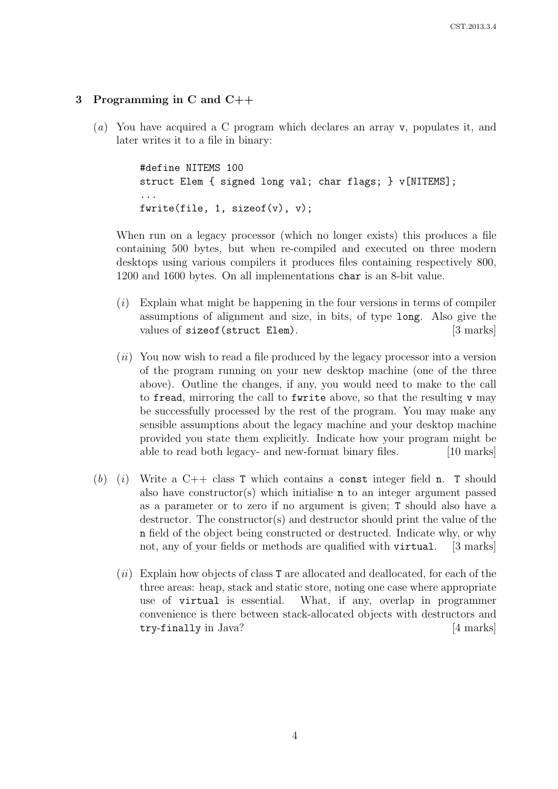## 3 Programming in C and C++

(a) You have acquired a C program which declares an array v, populates it, and later writes it to a file in binary:

```
#define NITEMS 100
struct Elem { signed long val; char flags; } v[NITEMS];
...
fwrite(file, 1, sizeof(v), v);
```
When run on a legacy processor (which no longer exists) this produces a file containing 500 bytes, but when re-compiled and executed on three modern desktops using various compilers it produces files containing respectively 800, 1200 and 1600 bytes. On all implementations char is an 8-bit value.

- $(i)$  Explain what might be happening in the four versions in terms of compiler assumptions of alignment and size, in bits, of type long. Also give the values of sizeof(struct Elem). [3 marks]
- $(ii)$  You now wish to read a file produced by the legacy processor into a version of the program running on your new desktop machine (one of the three above). Outline the changes, if any, you would need to make to the call to fread, mirroring the call to fwrite above, so that the resulting v may be successfully processed by the rest of the program. You may make any sensible assumptions about the legacy machine and your desktop machine provided you state them explicitly. Indicate how your program might be able to read both legacy- and new-format binary files. [10 marks]
- (b) (i) Write a C++ class T which contains a const integer field n. T should also have constructor(s) which initialise n to an integer argument passed as a parameter or to zero if no argument is given; T should also have a destructor. The constructor(s) and destructor should print the value of the n field of the object being constructed or destructed. Indicate why, or why not, any of your fields or methods are qualified with virtual. [3 marks]
	- $(ii)$  Explain how objects of class T are allocated and deallocated, for each of the three areas: heap, stack and static store, noting one case where appropriate use of virtual is essential. What, if any, overlap in programmer convenience is there between stack-allocated objects with destructors and try-finally in Java? [4 marks]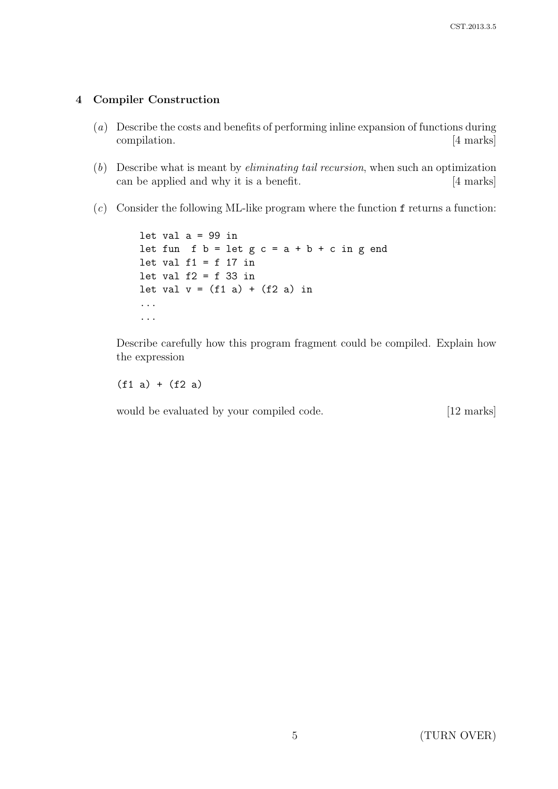### 4 Compiler Construction

- (a) Describe the costs and benefits of performing inline expansion of functions during compilation. [4 marks]
- $(b)$  Describe what is meant by *eliminating tail recursion*, when such an optimization can be applied and why it is a benefit. [4 marks]
- $(c)$  Consider the following ML-like program where the function f returns a function:

```
let val a = 99 in
let fun f b = let g c = a + b + c in g end
let val f1 = f 17 in
let val f2 = f 33 in
let val v = (f1 a) + (f2 a) in...
...
```
Describe carefully how this program fragment could be compiled. Explain how the expression

 $(f1 a) + (f2 a)$ 

would be evaluated by your compiled code. [12 marks]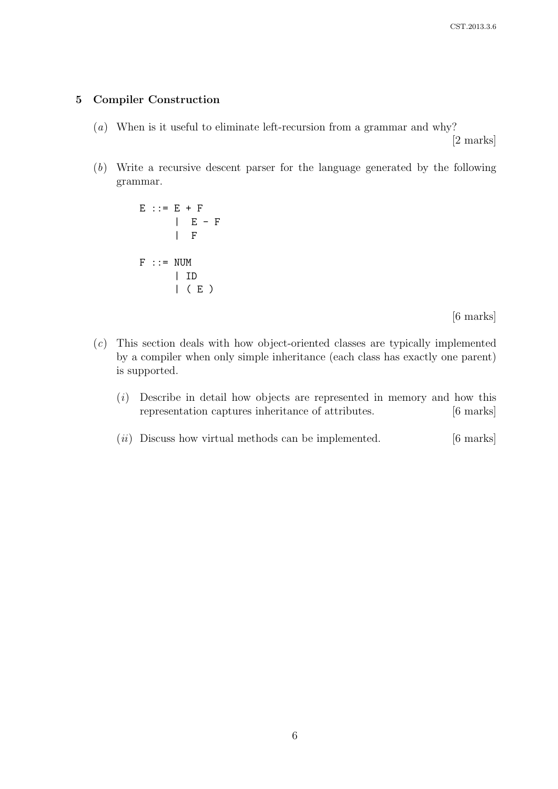### 5 Compiler Construction

(a) When is it useful to eliminate left-recursion from a grammar and why?

[2 marks]

(b) Write a recursive descent parser for the language generated by the following grammar.

> $E$  ::=  $E + F$  $| E - F |$ | F  $F : := NUM$ | ID | ( E )

> > [6 marks]

- (c) This section deals with how object-oriented classes are typically implemented by a compiler when only simple inheritance (each class has exactly one parent) is supported.
	- $(i)$  Describe in detail how objects are represented in memory and how this representation captures inheritance of attributes. [6 marks]
	- $(ii)$  Discuss how virtual methods can be implemented.  $[6 \text{ marks}]$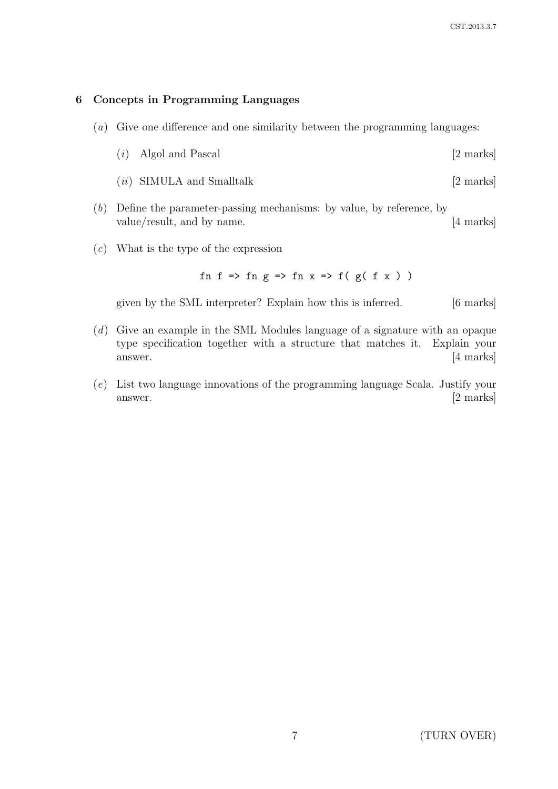## 6 Concepts in Programming Languages

- (a) Give one difference and one similarity between the programming languages:
	- $(i)$  Algol and Pascal [2 marks]
	- $(ii)$  SIMULA and Smalltalk  $[2 \text{ marks}]$
- (b) Define the parameter-passing mechanisms: by value, by reference, by value/result, and by name. [4 marks]
- (c) What is the type of the expression

fn f => fn g => fn x => f(  $g($  f x  $)$  )

given by the SML interpreter? Explain how this is inferred. [6 marks]

- (d) Give an example in the SML Modules language of a signature with an opaque type specification together with a structure that matches it. Explain your answer. [4 marks]
- (e) List two language innovations of the programming language Scala. Justify your answer. [2 marks]

7 (TURN OVER)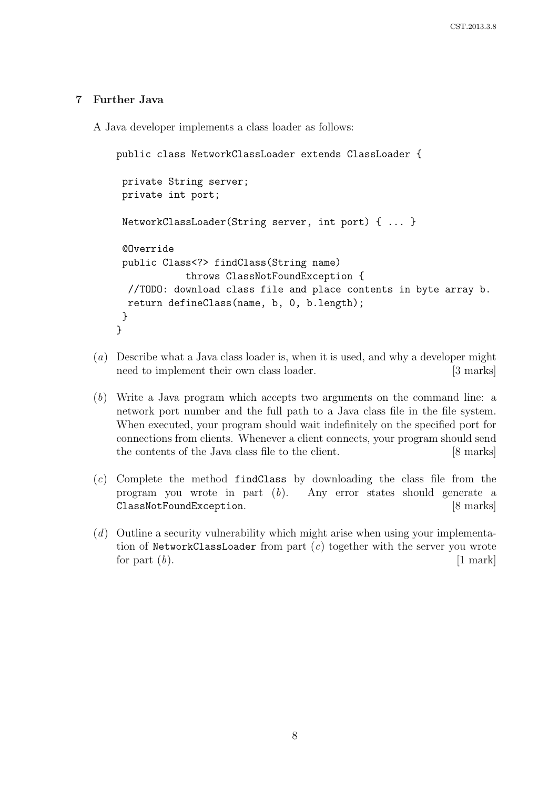### 7 Further Java

A Java developer implements a class loader as follows:

```
public class NetworkClassLoader extends ClassLoader {
 private String server;
private int port;
 NetworkClassLoader(String server, int port) { ... }
 @Override
 public Class<?> findClass(String name)
            throws ClassNotFoundException {
 //TODO: download class file and place contents in byte array b.
 return defineClass(name, b, 0, b.length);
 }
}
```
- (a) Describe what a Java class loader is, when it is used, and why a developer might need to implement their own class loader. [3 marks]
- (b) Write a Java program which accepts two arguments on the command line: a network port number and the full path to a Java class file in the file system. When executed, your program should wait indefinitely on the specified port for connections from clients. Whenever a client connects, your program should send the contents of the Java class file to the client. [8 marks]
- $(c)$  Complete the method findClass by downloading the class file from the program you wrote in part (b). Any error states should generate a ClassNotFoundException. [8 marks]
- (d) Outline a security vulnerability which might arise when using your implementation of NetworkClassLoader from part  $(c)$  together with the server you wrote for part  $(b)$ . [1 mark]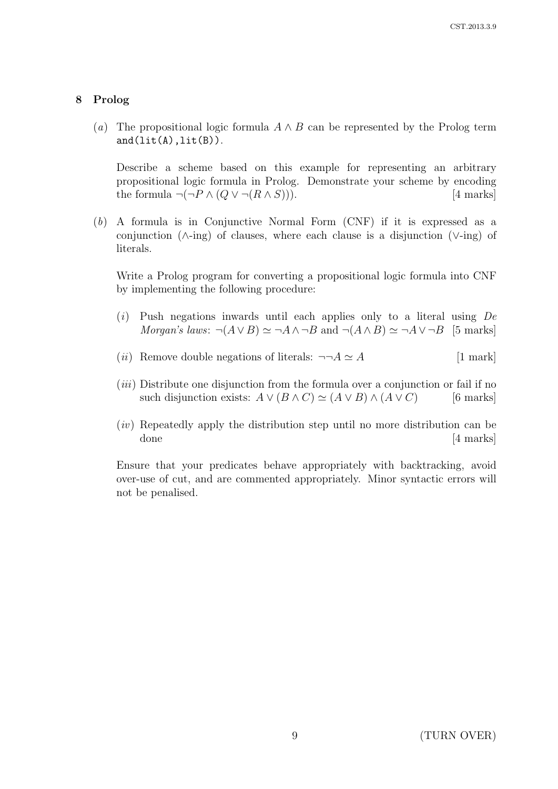#### 8 Prolog

(a) The propositional logic formula  $A \wedge B$  can be represented by the Prolog term  $and(Iit(A),lit(B)).$ 

Describe a scheme based on this example for representing an arbitrary propositional logic formula in Prolog. Demonstrate your scheme by encoding the formula  $\neg(\neg P \land (Q \lor \neg(R \land S)))$ . [4 marks]

(b) A formula is in Conjunctive Normal Form (CNF) if it is expressed as a conjunction (∧-ing) of clauses, where each clause is a disjunction (∨-ing) of literals.

Write a Prolog program for converting a propositional logic formula into CNF by implementing the following procedure:

- $(i)$  Push negations inwards until each applies only to a literal using  $De$ Morgan's laws:  $\neg(A \lor B) \simeq \neg A \land \neg B$  and  $\neg(A \land B) \simeq \neg A \lor \neg B$  [5 marks]
- (*ii*) Remove double negations of literals:  $\neg\neg A \simeq A$  [1 mark]
- $(iii)$  Distribute one disjunction from the formula over a conjunction or fail if no such disjunction exists:  $A \vee (B \wedge C) \simeq (A \vee B) \wedge (A \vee C)$  [6 marks]
- (iv) Repeatedly apply the distribution step until no more distribution can be done [4 marks]

Ensure that your predicates behave appropriately with backtracking, avoid over-use of cut, and are commented appropriately. Minor syntactic errors will not be penalised.